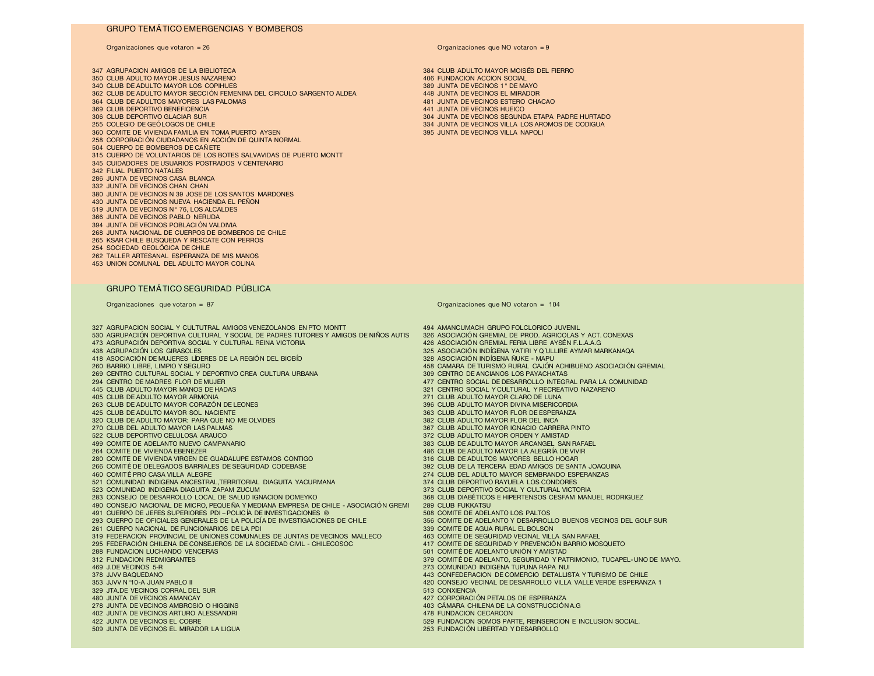### **GRUPO TEMÁTICO EMERGENCIAS Y BOMBEROS**

 AGRUPACION AMIGOS DE LA BIBLIOTECA 384 CLUB ADULTO MAYOR MOISÉS DEL FIERRO CLUB ADULTO MAYOR JESUS NAZARENO 406 FUNDACION ACCION SOCIAL 340 CLUB DE ADULTO MAYOR LOS COPIHUES<br>362 CLUB DE ADULTO MAYOR SECCIÓN FEMENINA DEL CIRCULO SARGENTO ALDEA 448 JUNTA DE VECINOS EL MIRADOR 362 CLUB DE ADULTO MAYOR SECCIÓN FEMENINA DEL CIRCULO SARGENTO ALDEA<br>364 CLUB DE ADULTOS MAYORES LAS PALOMAS 364 CLUB DE ADULTOS MAYORES LAS PALOMAS **1994 CLUB DE ADULTOS DE VECINOS ESTERO CHACAO** 441 JUNTA DE VECINOS ESTERO CHACAO 1999 CLUB DEPORTIVO BENEFICENCIA CLUB DEPORTIVO BENEFICENCIA 441 JUNTA DE VECINOS HUEICO 306 CLUB DEPORTIVO GLACIAR SUR SUR 304 JUNTA DE VECINOS SEGUNDA ETAPA PADRE HURTADO 304 JUNTA DE VECINOS SEGUNDA ETAPA PADRE HURTADO A SAN ANTENIDO A SEGUNDA ETAPA PADRE HURTADO A SAN ANTENIDADO A SEGUNDA ETAPA PADRE HURTA 360 COMITE DE VIVIENDA FAMILIA EN TOMA PUERTO AYSEN CORPORACI ÓN CIUDADANOS EN ACCIÓN DE QUINTA NORMAL CUERPO DE BOMBEROS DE CAÑ ETE CUERPO DE VOLUNTARIOS DE LOS BOTES SALVAVIDAS DE PUERTO MONTT CUIDADORES DE USUARIOS POSTRADOS V CENTENARIO FILIAL PUERTO NATALES JUNTA DE VECINOS CASA BLANCA JUNTA DE VECINOS CHAN CHAN JUNTA DE VECINOS N 39 JOSE DE LOS SANTOS MARDONES JUNTA DE VECINOS NUEVA HACIENDA EL PEÑON 519 JUNTA DE VECINOS Nº 76, LOS ALCALDES JUNTA DE VECINOS PABLO NERUDA JUNTA DE VECINOS POBLACI ÓN VALDIVIA JUNTA NACIONAL DE CUERPOS DE BOMBEROS DE CHILE KSAR CHILE BUSQUEDA Y RESCATE CON PERROS SOCIEDAD GEOLÓGICA DE CHILE TALLER ARTESANAL ESPERANZA DE MIS MANOS UNION COMUNAL DEL ADULTO MAYOR COLINA

#### **GRUPO TEMÁTICO SEGURIDAD PÚBLICA**

**Organizaciones que votaron = 26 Organizaciones que NO votaron = 9**

334 JUNTA DE VECINOS VILLA LOS AROMOS DE CODIGUA<br>395 JUNTA DE VECINOS VILLA NAPOLI

**Organizaciones que votaron = 87 Organizaciones que NO votaron = 104**

327 AGRUPACION SOCIAL Y CULTUTRAL AMIGOS VENEZOLANOS EN PTO MONTT 494 AMANCUMACH GRUPO FOLCLORICO JUVENIL ACT.<br>530 AGRUPACIÓN DEPORTIVA CULTURAL Y SOCIAL DE PADRES TUTORES Y AMIGOS DE NIÑOS AUTIS 426 ASOCIACIÓN GREMIAL DE 530 AGRUPACIÓN DEPORTIVA CULTURAL Y SOCIAL DE PADRES TUTORES Y AMIGOS DE NIÑOS AUTISTAS 326 ASOCIACIÓN GREMIAL DE PROD. AGRICOLAS Y ACT.<br>173 AGRUPACIÓN DEPORTIVA SOCIAL Y CULTURAL REINA VICTORIA 473 AGRUPACIÓN DEPORTIVA SOCIAL Y CULTURAL REINA VICTORIA<br>438 AGRUPACIÓN LOS GIRASOLES 418 ASOCIACIÓN DE MUJERES LÍDERES DE LA REGIÓN DEL BIOBÍO<br>260 BARRIO LIBRE, LIMPIO Y SEGURO 269 CENTRO CULTURAL SOCIAL Y DEPORTIVO CREA CULTURA URBANA 294 CENTRO DE MADRES FLOR DE MUJER 294 CENTRO DE MADRES FLOR DE MUJER<br>294 CENTRO DE MADRES FLOR DE MADAS EN EN ENTRE EN 1999 EN 1999 EN 1999 A 1999 ESTA DE DESARROLLO INTEGRAL PARA LA COMUNIDAD<br>291 CENTRO SOCIAL Y CULTURAL Y RECREATIVO NAZARENO 445 CLUB ADULTO MAYOR MANOS DE HADAS 321 CENTRO SOCIAL Y CULTURAL Y RECREATIVO NAZARENO ANNO 1992 ANNO 1992 AN<br>321 CLUB DE ADULTO MAYOR ARMONIA 263 CLUB DE ADULTO MAYOR CORAZÓN DE LEONES<br>425 CLUB DE ADULTO MAYOR SOL NACIENTE 320 CLUB DE ADULTO MAYOR: PARA QUE NO ME OLVIDES 270 CLUB DEL ADULTO MAYOR LAS PALMAS 270 CLUB DEL ADULTO MAYOR LAS PALMAS 367 CLUB ADULTO MAYOR IGNACIO CARRERA PINTO 270 CLUB ADULTO MAYOR IGNACIO CARRERA PINTO 522 CLUB DEPORTIVO CELULOSA ARAUCO SON EN EN EN ENTRE EN ENGLANDO EN EN ENGLANDO EN EN ENGLANDO EN EN ENGLAND<br>383 CLUB DE ADELANTO NUEVO CAMPANARIO SON EN EN ENGLANDO EN EN ENGLANDO EN ENGLANDO EN ENGLANDO ARCANGEL SAN 499 COMITE DE ADELANTO NUEVO CAMPANARIO AND ANNO 1999 AND 1999 AND 1999 AND 1999 AND 1999 AND 1999 AND 1999 AN<br>264 COMITE DE VIVIENDA EBENEZER AND EXPLORER AND ANNO 1999 AND 1999 AND 1999 AND 1999 AND 1999 AND 1999 AND 19 280 COMITE DE VIVIENDA VIRGEN DE GUADALUPE ESTAMOS CONTIGO 316 CLUB DE ADULTOS MAYORES BELLO HOGAR 266 COMITÉ DE DELEGADOS BARRIALES DE SEGURIDAD CODEBASE 460 COMITÉ PRO CASA VILLA ALEGRE 521 COMUNIDAD INDIGENA ANCESTRAL,TERRITORIAL DIAGUITA YACURMANA 523 COMUNIDAD INDIGENA DIAGUITA ZAPAM ZUCUM 283 CONSEJO DE DESARROLLO LOCAL DE SALUD IGNACION DOMEYKO 369 CONSENSOS CLUB DIABÉTICOS AS CLUB E HIRECTICOS C<br>390 CONSEJO NACIONAL DE MICRO PEQUEÑA Y MEDIANA EMPRESA DE CHILE - ASOCIACIÓN GREMI 289 CLUB FUKKATSU 490 CONSEJO NACIONAL DE MICRO, PEQUEÑA Y MEDIANA EMPRESA DE CHILE - ASOCIACIÓN GREMIAL - 289 CLUB FUKKATSU<br>491 CUERPO DE JEFES SUPERIORES PDI-POLICÍA DE INVESTIGACIONES ® 508 COMITE DE ADELANTO LOS PALTOS 491 CUERPO DE JEFES SUPERIORES PDI-POLICÍA DE INVESTIGACIONES ®<br>293 CUERPO DE OFICIALES GENERALES DE LA POLICÍA DE INVESTIGACIONES DE CHILE 356 COMITE DE ADELANTO Y DESARROLLO BUENOS VECINOS DEL GOLF SUR 293 CUERPO DE OFICIALES GENERALES DE LA POLICÍA DE INVESTIGACIONES DE CHILE 261 COMITE DE ADELANTO Y DESARROLLO<br>261 CUERPO NACIONAL DE FUNCIONARIOS DE LA PDI 261 CUERPO NACIONAL DE FUNCIONARIOS DE LA PDI<br>319 FEDERACION PROVINCIAL DE UNIONES COMUNALES DE JUNTAS DE VECINOS MALLECO 463 COMITE DE SEGURIDAD VECINAL VILLA SAN RAFAEL 319 FEDERACION PROVINCIAL DE UNIONES COMUNALES DE JUNTAS DE VECINOS MALLECO 463 COMITE DE SEGURIDAD VECINAL VILLA SAN RAFAEL<br>295 FEDERACIÓN CHILENA DE CONSEJEROS DE LA SOCIEDAD CIVIL - CHILECOSOC 417 COMITE DE SEGURIDAD Y 295 FEDERACIÓN CHILENA DE CONSEJEROS DE LA SOCIEDAD CIVIL - CHILECOSOC<br>288 FUNDACION LUCHANDO VENCERAS 288 FUNDACION LUCHANDO VENCERAS 501 COMITÉ DE ADELANTO UNIÓN Y AMISTAD 312 FUNDACION REDMIGRANTES 379 COMITÉ DE ADELANTO, SEGURIDAD Y PATRIMONIO, TUCAPEL-UNO DE MAYO. 469 J.DE VECINOS 5-R 273 COMUNIDAD INDIGENA TUPUNA RAPA NUI 378 JJVV BAQUEDANO 443 CONFEDERACION DE COMERCIO DETALLISTA Y TURISMO DE CHILE 329 JTA.DE VECINOS CORRAL DEL SUR<br>480 JUNTA DE VECINOS AMANCAY 480 JUNTA DE VECINOS AMANCAY 427 CORPORACI ÓN PETALOS DE ESPERANZA 402 JUNTA DE VECINOS ARTURO ALESSANDRI 422 JUNTA DE VECINOS EL COBRE 422 JUNTA DE VECINOS EL COBRE EL LOTA DE VENTA DE VENTA DE SEGUENTO DE SEGUENTO DE SAN ENFORMACION SOMOS PARTE, REINSERCION E INCLUSION SOCIAL.<br>509 JUNTA DE VECINOS EL MIRADOR LA LIGUA

425 ASOCIACIÓN INDÍGENA YATIRI Y Q´ULLIRE AYMAR MARKANAQA<br>428 ASOCIACIÓN INDÍGENA ÑUKE - MAPU 458 CAMARA DE TURISMO RURAL CAJÓN ACHIBUENO ASOCIACIÓN GREMIAL 309 CENTRO DE ANCIANOS LOS PAYACHATAS 271 CLUB ADULTO MAYOR CLARO DE LUNA<br>396 CLUB ADULTO MAYOR DIVINA MISERICORDIA 363 CLUB ADULTO MAYOR FLOR DE ESPERANZA<br>382 CLUB ADULTO MAYOR FLOR DEL INCA 486 CLUB DE ADULTO MAYOR LA ALEGRÍA DE VIVIR<br>316 CLUB DE ADULTOS MAYORES BELLO HOGAR 274 CLUB DEL ADULTO MAYOR SEMBRANDO ESPERANZAS<br>374 CLUB DEPORTIVO RAYUELA LOS CONDORES 373 CLUB DEPORTIVO SOCIAL Y CULTURAL VICTORIA<br>368 CLUB DIABÉTICOS E HIPERTENSOS CESFAM MANUEL RODRIGUEZ 420 CONSEJO VECINAL DE DESARROLLO VILLA VALLE VERDE ESPERANZA 1<br>513 CONXIENCIA 203 CÁMARA CHILENA DE LA CONSTRUCCIÓN A.G<br>278 FUNDACION CECARCON

253 FUNDACIÓN LIBERTAD Y DESARROLLO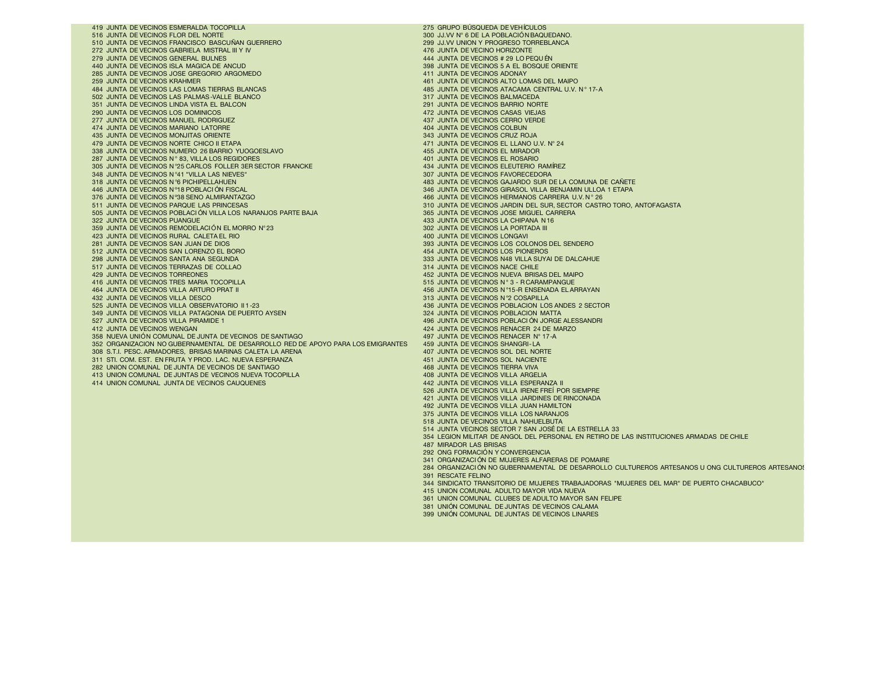419 JUNTA DE VECINOS ESMERALDA TOCOPILLA<br>516 JUNTA DE VECINOS ELOR DEL NORTE LA ROBITA DE VENEZIA DE VENEZIA DE VEHÍCULOS DE LA ROBITACIÓN RAQUI 510 JUNTA DE VECINOS FRANCISCO BASCUÑAN GUERRERO 299 JJ.VV UNION Y PROGRESO TOFRESO TORRESO TORRESO TORRESO TO<br>272 JUNTA DE VECINOS GABRIELA MISTRAL III Y IV 272 JUNTA DE VECINOS GABRIELA MISTRAL III Y IV 476 JUNTA DE VECINO HORIZONTE A 1999 ANNO 1999 ANNO 1999 ANNO 1<br>279 JUNTA DE VECINOS GENERAL BULNES ANNO 1999 ANNO 1999 ANNO 1999 ANNO 1999 ANNO 1999 ANNO 1999 ANNO 1999 ANNO 279 JUNTA DE VECINOS GENERAL BULNES<br>440 JUNTA DE VECINOS ISLA MAGICA DE ANCUD 285 JUNTA DE VECINOS JOSE GREGORIO ARGOMEDO 259 JUNTA DE VECINOS KRAHMER 259 JUNTA DE VECINOS KRAHMER 461 JUNTA DE VECINOS ALTO LOMAS DEL MAIPO 502 JUNTA DE VECINOS LAS PALMAS-VALLE BLANCO **317 JUNTA DE VECINOS BALMACEDA**<br>351 JUNTA DE VECINOS UNDA VISTA EL BALCON COM CON 1994 JUNTA DE VECINOS BABBIO NORTE 351 JUNTA DE VECINOS LINDA VISTA EL BALCON 291 JUNTA DE VECINOS BARRIO NORTE 290 JUNTA DE VECINOS LOS DOMINICOS 472 JUNTA DE VECINOS CASAS VIEJAS 277 JUNTA DE VECINOS MANUEL RODRIGUEZ 437 JUNTA DE VECINOS CERRO VERDE 474 JUNTA DE VECINOS MARIANO LATORRE A ANALISTA DE VECINOS COLBUNALES EN 1999 EN 1999 A 404 JUNTA DE VECINOS COLBUN<br>404 JUNTA DE VECINOS MONJITAS ORIENTE A ANALISTA DE VECINOS CRUZ ROJA A 1999 A 404 JUNTA DE VECINOS CRUZ R %435 JUNTA DE VECINOS MONJITAS ORIENTE A ANNO 1999 DE VECINOS CRUZ ROJA A SUNTA DE VECINOS CRUZ ROJA A SUNTA DE VECINOS CRUZ ROJA A SUNTA DE VECINOS CRUZ ROJA A SUNTA DE VECINOS EL LLANO U.V. N° 24<br>343 JUNTA DE VECINOS NOR 479 JUNTA DE VECINOS NORTE CHICO II ETAPA 471 JUNTA DE VECINOS EL LLANO U.<br>471 JUNTA DE VECINOS NUMERO 26 BARRIO YUOGOESLAVO 455 JUNTA DE VECINOS EL MIRADOR 338 JUNTA DE VECINOS NUMERO 26 BARRIO YUOGOESLAVO 455 JUNTA DE VECINOS EL MIRADOR AND 1999 1999 1999 1999 1999<br>1997 JUNTA DE VECINOS N° 83, VILLA LOS REGIDORES 287 JUNTA DE VECINOS N° 83, VILLA LOS REGIDORES<br>2005 JUNTA DE VECINOS N°25 CARLOS FOLLER 3ER SECTOR FRANCKE 4000 ANNO 1999 ASI JUNTA DE VECINOS ELEUTERIO RAMÍREZ 305 JUNTA DE VECINOS N°25 CARLOS FOLLER 3ER SECTOR FRANCKE 434 JUNTA DE VECINOS ELEUTERIO RAMÍREZ A 1999 1999<br>1998 JUNTA DE VECINOS N°41 "VILLA LAS NIEVES" 348 JUNTA DE VECINOS N°41 "VILLA LAS NIEVES"<br>318 JUNTA DE VECINOS N°6 PICHIPELLAHUEN 318 JUNTA DE VECINOS N °6 PICHIPELLAHUEN 483 JUNTA DE VECINOS GAJARDO SUR DE LA COMUNA DE CAÑETE 446 JUNTA DE VECINOS N°18 POBLACIÓN FISCAL a componente de la componente de la componente de la componente de la componente de la componente de la componente de la componente de la componente de la componente de la compon 376 JUNTA DE VECINOS N º38 SENO ALMIRANTAZGO 466 JUNTA DE VECINOS HERMANOS CARRERA U.V. N ° 26 505 JUNTA DE VECINOS POBLACI ÓN VILLA LOS NARANJOS PARTE BAJA<br>322 JUNTA DE VECINOS PUANGUE 359 JUNTA DE VECINOS REMODELACIÓN EL MORRO N°23 302 JUNTA DE VECINOS LA PORTADA III 423 JUNTA DE VECINOS RURAL CALETA EL RIO 281 JUNTA DE VECINOS SAN JUAN DE DIOS 512 JUNTA DE VECINOS SAN LORENZO EL BORO 298 JUNTA DE VECINOS SANTA ANA SEGUNDA 517 JUNTA DE VECINOS TERRAZAS DE COLLAO<br>429 JUNTA DE VECINOS TORREONES 416 JUNTA DE VECINOS TRES MARIA TOCOPILLA<br>464 JUNTA DE VECINOS VILLA ARTURO PRAT II 432 JUNTA DE VECINOS VILLA DESCO<br>525 JUNTA DE VECINOS VILLA OBSERVATORIO II 1-23 349 JUNTA DE VECINOS VILLA PATAGONIA DE PUERTO AYSEN 527 JUNTA DE VECINOS VILLA PIRAMIDE 1 527 JUNTA DE VECINOS VILLA PIRAMIDE 1 496 JUNTA DE VECINOS POBLACI ÓN JORGE ALESSANDRI A 12 JUNTA DE VECINOS POBLACI ÓN JORGE ALESSANDRI A 12 JUNTA DE VECINOS RENACER 24 DE MARZO 358 NUEVA UNIÓN COMUNAL DE JUNTA DE VECINOS DE SANTIAGO 497 JUNTA DE VECINOS RENACER N° 17-A 352 ORGANIZACION NO GUBERNAMENTAL DE DESARROLLO RED DE APOYO PARA LOS EMIGRANTES 459 JUNTA DE VECINOS SHANGRI-LA<br>1998 S.T.I. PESC. ARMADORES. BRISAS MARINAS CALETA LA ARENA 308 S.T.I. PESC. ARMADORES, BRISAS MARINAS CALETA LA ARENA 400 de 1999 de 1999 de 1999 de 1999 de 1909 de 1908<br>311 STL COM, EST. EN FRUTA Y PROD. LAC. NUEVA ESPERANZA 400 de 1999 de 1999 de 1999 de 1999 de 1999 de 1999 d 311 STI. COM. EST. EN FRUTA Y PROD. LAC. NUEVA ESPERANZA and a series and a series and a series and a series o<br>468 JUNION COMUNAL DE JUNTA DE VECINOS DE SANTIAGO A SERIES ANTIGOS DE SANTIAGO A SERIES ANTIGOS TIERRA VIVA 282 UNION COMUNAL DE JUNTA DE VECINOS DE SANTIAGO 468 JUNTA DE VECINOS TIERRA VIVA 413 UNION COMUNAL DE JUNTAS DE VECINOS NUEVA TOCOPILLA<br>414 UNION COMUNAL JUNTA DE VECINOS CAUQUENES 400 DE VECINOS DE 1999 A 442 JUNTA DE VECINOS VILLA ESPERANZA II 414 UNION COMUNAL JUNTA DE VECINOS CAUQUENES

300 JU.VV N° 6 DE LA POBLACIÓN BAQUEDANO.<br>299 JU.VV UNION Y PROGRESO TORREBLANCA 398 JUNTA DE VECINOS 5 A EL BOSQUE ORIENTE 411 JUNTA DE VECINOS ADONAY 485 JUNTA DE VECINOS ATACAMA CENTRAL U.V. Nº 17-A<br>317 JUNTA DE VECINOS BALMACEDA 310 JUNTA DE VECINOS JARDIN DEL SUR, SECTOR CASTRO TORO, ANTOFAGASTA<br>365 JUNTA DE VECINOS JOSE MIGUEL CARRERA 433 JUNTA DE VECINOS LA CHIPANA N16<br>302 JUNTA DE VECINOS LA PORTADA III 393 JUNTA DE VECINOS LOS COLONOS DEL SENDERO<br>454 JUNTA DE VECINOS LOS PIONEROS 333 JUNTA DE VECINOS N48 VILLA SUYAI DE DALCAHUE<br>314 JUNTA DE VECINOS NACE CHILE 452 JUNTA DE VECINOS NUEVA BRISAS DEL MAIPO<br>515 JUNTA DE VECINOS Nº 3 - RCARAMPANGUE 456 JUNTA DE VECINOS N°15-R ENSENADA EL ARRAYAN<br>313 JUNTA DE VECINOS N°2 COSAPILLA 436 JUNTA DE VECINOS POBLACION LOS ANDES 2 SECTOR<br>324 JUNTA DE VECINOS POBLACION MATTA 424 JUNTA DE VECINOS RENACER 24 DE MARZO<br>497 JUNTA DE VECINOS RENACER Nº 17-A 526 JUNTA DE VECINOS VILLA IRENE FREÍ POR SIEMPRE 421 JUNTA DE VECINOS VILLA JARDINES DE RINCONADA 492 JUNTA DE VECINOS VILLA JUAN HAMILTON 375 JUNTA DE VECINOS VILLA LOS NARANJOS 518 JUNTA DE VECINOS VILLA NAHUELBUTA 514 JUNTA VECINOS SECTOR 7 SAN JOSÉ DE LA ESTRELLA 33 354 LEGION MILITAR DE ANGOL DEL PERSONAL EN RETIRO DE LAS INSTITUCIONES ARMADAS DE CHILE 487 MIRADOR LAS BRISAS 292 ONG FORMACIÓN Y CONVERGENCIA 341 ORGANIZACI ÓN DE MUJERES ALFARERAS DE POMAIRE 284 ORGANIZACI ÓN NO GUBERNAMENTAL DE DESARROLLO CULTUREROS ARTESANOS U ONG CULTUREROS ARTESANOS 391 RESCATE FELINO 344 SINDICATO TRANSITORIO DE MUJERES TRABAJADORAS "MUJERES DEL MAR" DE PUERTO CHACABUCO" 415 UNION COMUNAL ADULTO MAYOR VIDA NUEVA 361 UNION COMUNAL CLUBES DE ADULTO MAYOR SAN FELIPE 381 UNIÓN COMUNAL DE JUNTAS DE VECINOS CALAMA

399 UNIÓN COMUNAL DE JUNTAS DE VECINOS LINARES